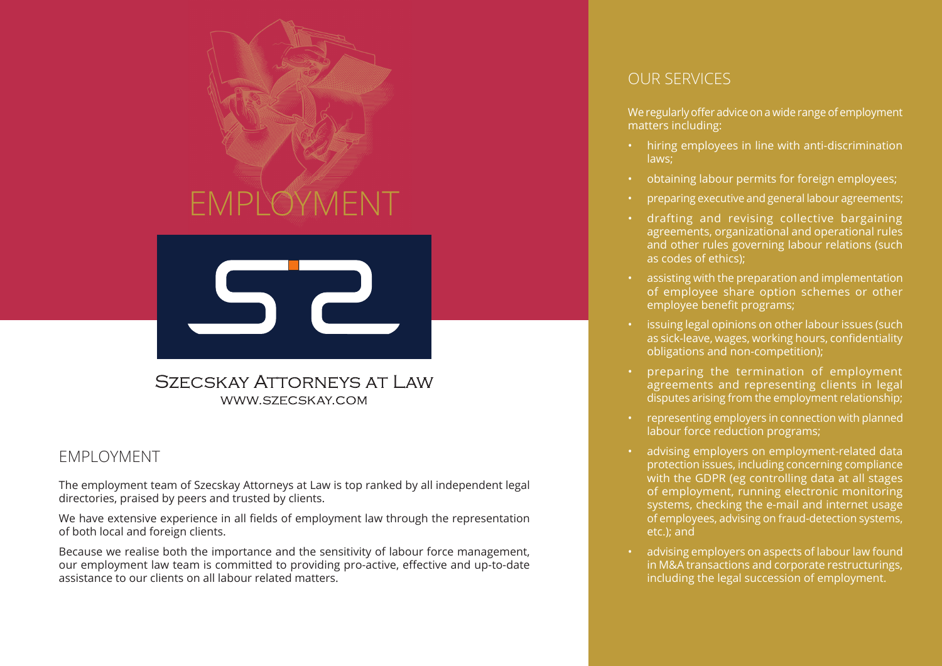



## EMPLOYMENT

The employment team of Szecskay Attorneys at Law is top ranked by all independent legal directories, praised by peers and trusted by clients.

We have extensive experience in all fields of employment law through the representation of both local and foreign clients.

Because we realise both the importance and the sensitivity of labour force management, our employment law team is committed to providing pro-active, effective and up-to-date assistance to our clients on all labour related matters.

## OUR SERVICES

We regularly offer advice on a wide range of employment matters including:

- hiring employees in line with anti-discrimination laws;
- obtaining labour permits for foreign employees;
- preparing executive and general labour agreements;
- drafting and revising collective bargaining agreements, organizational and operational rules and other rules governing labour relations (such as codes of ethics);
- assisting with the preparation and implementation of employee share option schemes or other employee benefit programs;
- issuing legal opinions on other labour issues (such as sick-leave, wages, working hours, confidentiality obligations and non-competition);
- preparing the termination of employment agreements and representing clients in legal disputes arising from the employment relationship;
- representing employers in connection with planned labour force reduction programs;
- advising employers on employment-related data protection issues, including concerning compliance with the GDPR (eg controlling data at all stages of employment, running electronic monitoring systems, checking the e-mail and internet usage of employees, advising on fraud-detection systems, etc.); and
- advising employers on aspects of labour law found in M&A transactions and corporate restructurings, including the legal succession of employment.